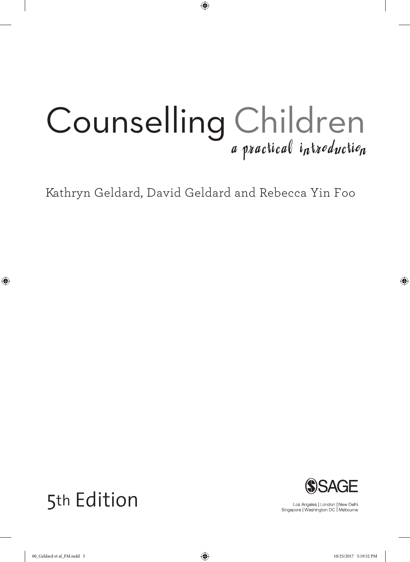# Counselling Children a practical introduction

 $\bigoplus$ 

Kathryn Geldard, David Geldard and Rebecca Yin Foo



Los Angeles | London | New Delhi<br>Singapore | Washington DC | Melbourne

# 5th Edition

 $\bigoplus$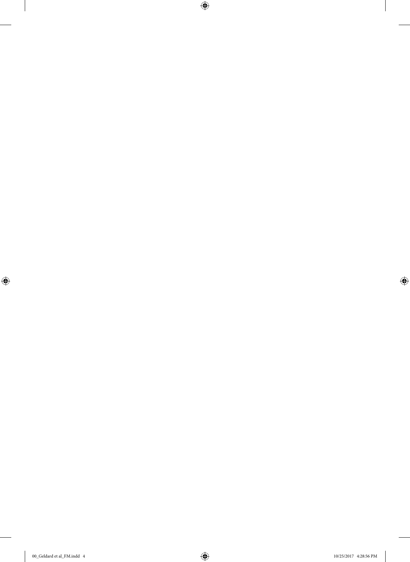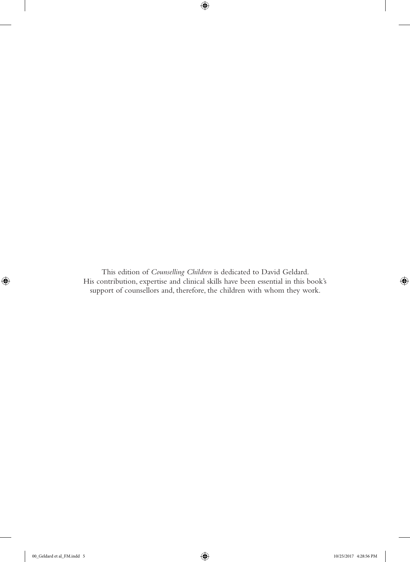This edition of *Counselling Children* is dedicated to David Geldard. His contribution, expertise and clinical skills have been essential in this book's support of counsellors and, therefore, the children with whom they work.

 $\bigoplus$ 

 $\bigoplus$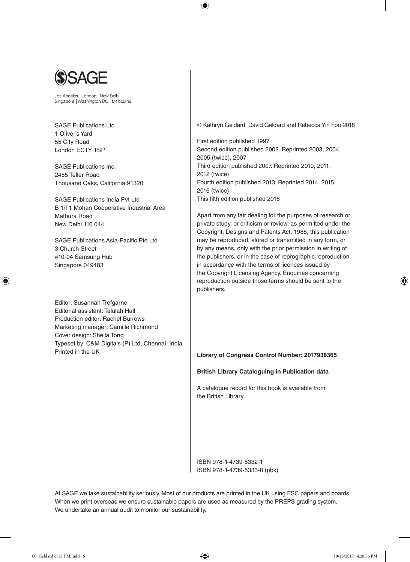

Los Angeles | London | New Delhi Singapore | Washington DC | Melbourne

SAGE Publications Ltd 1 Oliver's Yard 55 City Road London EC1Y 1SP

SAGE Publications Inc. 2455 Teller Road Thousand Oaks, California 91320

SAGE Publications India Pvt Ltd B 1/I 1 Mohan Cooperative Industrial Area Mathura Road New Delhi 110 044

SAGE Publications Asia-Pacific Pte Ltd 3 Church Street #10-04 Samsung Hub Singapore 049483

⊕

Editor: Susannah Trefgarne Editorial assistant: Talulah Hall Production editor: Rachel Burrows Marketing manager: Camille Richmond Cover design: Sheila Tong Typeset by: C&M Digitals (P) Ltd, Chennai, India Printed in the UK

 $\circledcirc$  Kathryn Geldard, David Geldard and Rebecca Yin Foo 2018

First edition published 1997 Second edition published 2002. Reprinted 2003, 2004, 2005 (twice), 2007 Third edition published 2007. Reprinted 2010, 2011, 2012 (twice) Fourth edition published 2013. Reprinted 2014, 2015, 2016 (twice) This fifth edition published 2018

Apart from any fair dealing for the purposes of research or private study, or criticism or review, as permitted under the Copyright, Designs and Patents Act, 1988, this publication may be reproduced, stored or transmitted in any form, or by any means, only with the prior permission in writing of the publishers, or in the case of reprographic reproduction, in accordance with the terms of licences issued by the Copyright Licensing Agency. Enquiries concerning reproduction outside those terms should be sent to the publishers.

**Library of Congress Control Number: 2017938365**

#### **British Library Cataloguing in Publication data**

A catalogue record for this book is available from the British Library

ISBN 978-1-4739-5332-1 ISBN 978-1-4739-5333-8 (pbk)

At SAGE we take sustainability seriously. Most of our products are printed in the UK using FSC papers and boards. When we print overseas we ensure sustainable papers are used as measured by the PREPS grading system. We undertake an annual audit to monitor our sustainability.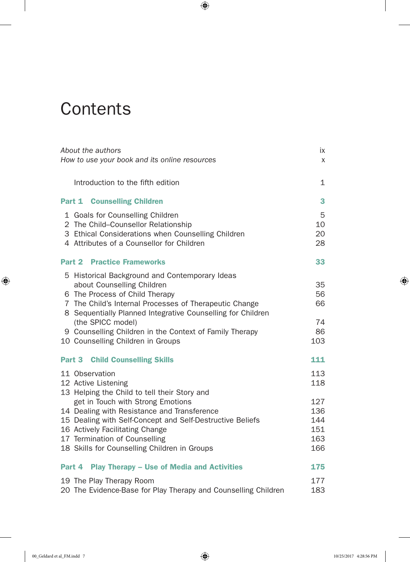## **Contents**

 $\overline{\phantom{a}}$ 

 $\bigoplus$ 

| About the authors<br>How to use your book and its online resources                                                                                                                                                                                                | İΧ.<br>X                               |
|-------------------------------------------------------------------------------------------------------------------------------------------------------------------------------------------------------------------------------------------------------------------|----------------------------------------|
| Introduction to the fifth edition                                                                                                                                                                                                                                 | 1                                      |
|                                                                                                                                                                                                                                                                   |                                        |
| <b>Part 1 Counselling Children</b>                                                                                                                                                                                                                                | 3                                      |
| 1 Goals for Counselling Children<br>2 The Child-Counsellor Relationship<br>3 Ethical Considerations when Counselling Children<br>4 Attributes of a Counsellor for Children                                                                                        | 5<br>10<br>20<br>28                    |
| <b>Part 2 Practice Frameworks</b>                                                                                                                                                                                                                                 | 33                                     |
| 5 Historical Background and Contemporary Ideas<br>about Counselling Children<br>6 The Process of Child Therapy<br>7 The Child's Internal Processes of Therapeutic Change<br>8 Sequentially Planned Integrative Counselling for Children<br>(the SPICC model)      | 35<br>56<br>66<br>74                   |
| 9 Counselling Children in the Context of Family Therapy<br>10 Counselling Children in Groups                                                                                                                                                                      | 86<br>103                              |
| <b>Part 3 Child Counselling Skills</b>                                                                                                                                                                                                                            | 111                                    |
| 11 Observation<br>12 Active Listening<br>13 Helping the Child to tell their Story and                                                                                                                                                                             | 113<br>118                             |
| get in Touch with Strong Emotions<br>14 Dealing with Resistance and Transference<br>15 Dealing with Self-Concept and Self-Destructive Beliefs<br>16 Actively Facilitating Change<br>17 Termination of Counselling<br>18 Skills for Counselling Children in Groups | 127<br>136<br>144<br>151<br>163<br>166 |
| <b>Play Therapy - Use of Media and Activities</b><br>Part 4                                                                                                                                                                                                       | 175                                    |
| 19 The Play Therapy Room<br>20 The Evidence-Base for Play Therapy and Counselling Children                                                                                                                                                                        | 177<br>183                             |

 $\bigoplus$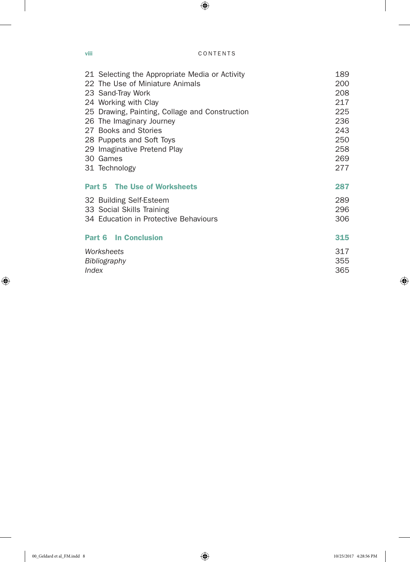#### viii CONTENTS

 $\bigoplus$ 

| 21 Selecting the Appropriate Media or Activity<br>22 The Use of Miniature Animals<br>23 Sand-Tray Work<br>24 Working with Clay<br>25 Drawing, Painting, Collage and Construction<br>26 The Imaginary Journey<br>27 Books and Stories<br>28 Puppets and Soft Toys<br>29 Imaginative Pretend Play<br>30 Games<br>31 Technology | 189<br>200<br>208<br>217<br>225<br>236<br>243<br>250<br>258<br>269<br>277 |
|------------------------------------------------------------------------------------------------------------------------------------------------------------------------------------------------------------------------------------------------------------------------------------------------------------------------------|---------------------------------------------------------------------------|
| <b>Part 5 The Use of Worksheets</b>                                                                                                                                                                                                                                                                                          | 287                                                                       |
| 32 Building Self-Esteem<br>33 Social Skills Training<br>34 Education in Protective Behaviours                                                                                                                                                                                                                                | 289<br>296<br>306                                                         |
| <b>Part 6 In Conclusion</b>                                                                                                                                                                                                                                                                                                  | 315                                                                       |
| Worksheets<br>Bibliography<br>Index                                                                                                                                                                                                                                                                                          | 317<br>355<br>365                                                         |
|                                                                                                                                                                                                                                                                                                                              |                                                                           |

 $\overline{\phantom{a}}$ 

 $\bigoplus$ 

 $\overline{\phantom{a}}$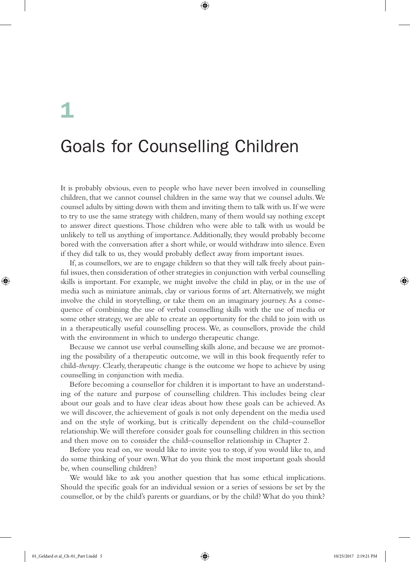### Goals for Counselling Children

⊕

It is probably obvious, even to people who have never been involved in counselling children, that we cannot counsel children in the same way that we counsel adults. We counsel adults by sitting down with them and inviting them to talk with us. If we were to try to use the same strategy with children, many of them would say nothing except to answer direct questions. Those children who were able to talk with us would be unlikely to tell us anything of importance. Additionally, they would probably become bored with the conversation after a short while, or would withdraw into silence. Even if they did talk to us, they would probably deflect away from important issues.

If, as counsellors, we are to engage children so that they will talk freely about painful issues, then consideration of other strategies in conjunction with verbal counselling skills is important. For example, we might involve the child in play, or in the use of media such as miniature animals, clay or various forms of art. Alternatively, we might involve the child in storytelling, or take them on an imaginary journey. As a consequence of combining the use of verbal counselling skills with the use of media or some other strategy, we are able to create an opportunity for the child to join with us in a therapeutically useful counselling process. We, as counsellors, provide the child with the environment in which to undergo therapeutic change.

Because we cannot use verbal counselling skills alone, and because we are promoting the possibility of a therapeutic outcome, we will in this book frequently refer to child-*therapy*. Clearly, therapeutic change is the outcome we hope to achieve by using counselling in conjunction with media.

Before becoming a counsellor for children it is important to have an understanding of the nature and purpose of counselling children. This includes being clear about our goals and to have clear ideas about how these goals can be achieved. As we will discover, the achievement of goals is not only dependent on the media used and on the style of working, but is critically dependent on the child–counsellor relationship. We will therefore consider goals for counselling children in this section and then move on to consider the child–counsellor relationship in Chapter 2.

Before you read on, we would like to invite you to stop, if you would like to, and do some thinking of your own. What do you think the most important goals should be, when counselling children?

We would like to ask you another question that has some ethical implications. Should the specific goals for an individual session or a series of sessions be set by the counsellor, or by the child's parents or guardians, or by the child? What do you think?

1

♠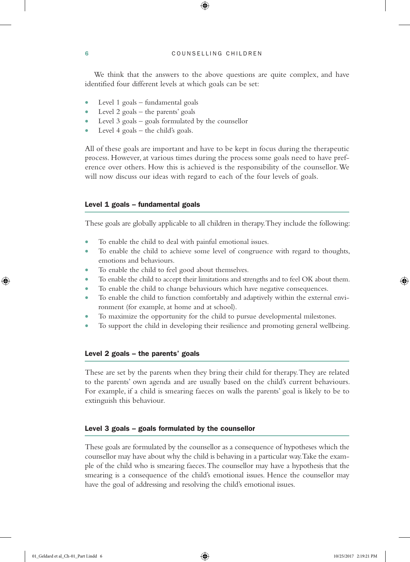#### 6 COUNSELLING CHILDREN

⊕

We think that the answers to the above questions are quite complex, and have identified four different levels at which goals can be set:

- Level 1 goals fundamental goals
- Level  $2$  goals the parents' goals
- Level  $3$  goals goals formulated by the counsellor
- Level 4 goals  $-$  the child's goals.

All of these goals are important and have to be kept in focus during the therapeutic process. However, at various times during the process some goals need to have preference over others. How this is achieved is the responsibility of the counsellor. We will now discuss our ideas with regard to each of the four levels of goals.

#### Level 1 goals – fundamental goals

These goals are globally applicable to all children in therapy. They include the following:

- To enable the child to deal with painful emotional issues.
- To enable the child to achieve some level of congruence with regard to thoughts, emotions and behaviours.
- To enable the child to feel good about themselves.
- To enable the child to accept their limitations and strengths and to feel OK about them.
- To enable the child to change behaviours which have negative consequences.
- To enable the child to function comfortably and adaptively within the external environment (for example, at home and at school).
- To maximize the opportunity for the child to pursue developmental milestones.
- To support the child in developing their resilience and promoting general wellbeing.

#### Level 2 goals – the parents' goals

These are set by the parents when they bring their child for therapy. They are related to the parents' own agenda and are usually based on the child's current behaviours. For example, if a child is smearing faeces on walls the parents' goal is likely to be to extinguish this behaviour.

#### Level 3 goals – goals formulated by the counsellor

These goals are formulated by the counsellor as a consequence of hypotheses which the counsellor may have about why the child is behaving in a particular way. Take the example of the child who is smearing faeces. The counsellor may have a hypothesis that the smearing is a consequence of the child's emotional issues. Hence the counsellor may have the goal of addressing and resolving the child's emotional issues.

♠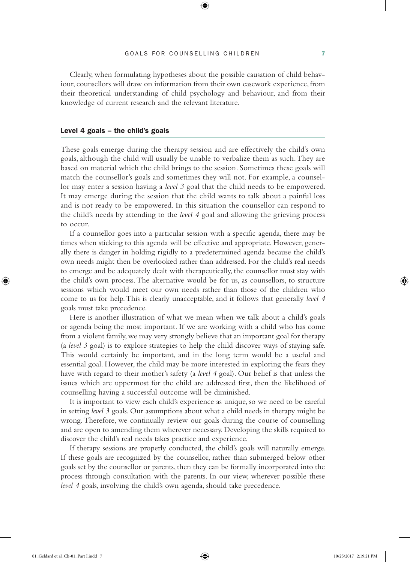⊕

Clearly, when formulating hypotheses about the possible causation of child behaviour, counsellors will draw on information from their own casework experience, from their theoretical understanding of child psychology and behaviour, and from their knowledge of current research and the relevant literature.

#### Level 4 goals – the child's goals

These goals emerge during the therapy session and are effectively the child's own goals, although the child will usually be unable to verbalize them as such. They are based on material which the child brings to the session. Sometimes these goals will match the counsellor's goals and sometimes they will not. For example, a counsellor may enter a session having a *level 3* goal that the child needs to be empowered. It may emerge during the session that the child wants to talk about a painful loss and is not ready to be empowered. In this situation the counsellor can respond to the child's needs by attending to the *level 4* goal and allowing the grieving process to occur.

If a counsellor goes into a particular session with a specific agenda, there may be times when sticking to this agenda will be effective and appropriate. However, generally there is danger in holding rigidly to a predetermined agenda because the child's own needs might then be overlooked rather than addressed. For the child's real needs to emerge and be adequately dealt with therapeutically, the counsellor must stay with the child's own process. The alternative would be for us, as counsellors, to structure sessions which would meet our own needs rather than those of the children who come to us for help. This is clearly unacceptable, and it follows that generally *level 4*  goals must take precedence.

Here is another illustration of what we mean when we talk about a child's goals or agenda being the most important. If we are working with a child who has come from a violent family, we may very strongly believe that an important goal for therapy (a *level 3* goal) is to explore strategies to help the child discover ways of staying safe. This would certainly be important, and in the long term would be a useful and essential goal. However, the child may be more interested in exploring the fears they have with regard to their mother's safety (a *level 4* goal). Our belief is that unless the issues which are uppermost for the child are addressed first, then the likelihood of counselling having a successful outcome will be diminished.

It is important to view each child's experience as unique, so we need to be careful in setting *level 3* goals. Our assumptions about what a child needs in therapy might be wrong. Therefore, we continually review our goals during the course of counselling and are open to amending them wherever necessary. Developing the skills required to discover the child's real needs takes practice and experience.

If therapy sessions are properly conducted, the child's goals will naturally emerge. If these goals are recognized by the counsellor, rather than submerged below other goals set by the counsellor or parents, then they can be formally incorporated into the process through consultation with the parents. In our view, wherever possible these *level 4* goals, involving the child's own agenda, should take precedence.

⊕

 $\Leftrightarrow$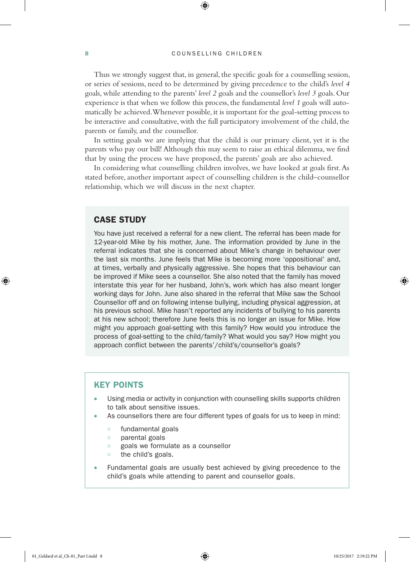#### 8 COUNSELLING CHILDREN

⊕

Thus we strongly suggest that, in general, the specific goals for a counselling session, or series of sessions, need to be determined by giving precedence to the child's *level 4*  goals, while attending to the parents' *level 2* goals and the counsellor's *level 3* goals. Our experience is that when we follow this process, the fundamental *level 1* goals will automatically be achieved. Whenever possible, it is important for the goal-setting process to be interactive and consultative, with the full participatory involvement of the child, the parents or family, and the counsellor.

In setting goals we are implying that the child is our primary client, yet it is the parents who pay our bill! Although this may seem to raise an ethical dilemma, we find that by using the process we have proposed, the parents' goals are also achieved.

In considering what counselling children involves, we have looked at goals first. As stated before, another important aspect of counselling children is the child–counsellor relationship, which we will discuss in the next chapter.

#### CASE STUDY

You have just received a referral for a new client. The referral has been made for 12-year-old Mike by his mother, June. The information provided by June in the referral indicates that she is concerned about Mike's change in behaviour over the last six months. June feels that Mike is becoming more 'oppositional' and, at times, verbally and physically aggressive. she hopes that this behaviour can be improved if Mike sees a counsellor. she also noted that the family has moved interstate this year for her husband, John's, work which has also meant longer working days for John. June also shared in the referral that Mike saw the school Counsellor off and on following intense bullying, including physical aggression, at his previous school. Mike hasn't reported any incidents of bullying to his parents at his new school; therefore June feels this is no longer an issue for Mike. how might you approach goal-setting with this family? how would you introduce the process of goal-setting to the child/family? What would you say? how might you approach conflict between the parents'/child's/counsellor's goals?

#### KEY POINTS

- Using media or activity in conjunction with counselling skills supports children to talk about sensitive issues.
- As counsellors there are four different types of goals for us to keep in mind:
	- fundamental goals
	- parental goals
	- goals we formulate as a counsellor
	- the child's goals.
- fundamental goals are usually best achieved by giving precedence to the child's goals while attending to parent and counsellor goals.

♠